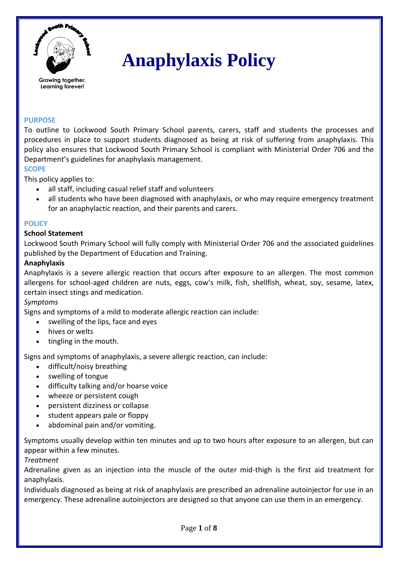

# **Anaphylaxis Policy**

## **PURPOSE**

To outline to Lockwood South Primary School parents, carers, staff and students the processes and procedures in place to support students diagnosed as being at risk of suffering from anaphylaxis. This policy also ensures that Lockwood South Primary School is compliant with Ministerial Order 706 and the Department's guidelines for anaphylaxis management.

#### **SCOPE**

This policy applies to:

- all staff, including casual relief staff and volunteers
- all students who have been diagnosed with anaphylaxis, or who may require emergency treatment for an anaphylactic reaction, and their parents and carers.

## **POLICY**

## **School Statement**

Lockwood South Primary School will fully comply with Ministerial Order 706 and the associated guidelines published by the Department of Education and Training.

#### **Anaphylaxis**

Anaphylaxis is a severe allergic reaction that occurs after exposure to an allergen. The most common allergens for school-aged children are nuts, eggs, cow's milk, fish, shellfish, wheat, soy, sesame, latex, certain insect stings and medication.

#### *Symptoms*

Signs and symptoms of a mild to moderate allergic reaction can include:

- swelling of the lips, face and eyes
- hives or welts
- tingling in the mouth.

Signs and symptoms of anaphylaxis, a severe allergic reaction, can include:

- difficult/noisy breathing
- swelling of tongue
- difficulty talking and/or hoarse voice
- wheeze or persistent cough
- persistent dizziness or collapse
- student appears pale or floppy
- abdominal pain and/or vomiting.

Symptoms usually develop within ten minutes and up to two hours after exposure to an allergen, but can appear within a few minutes.

#### *Treatment*

Adrenaline given as an injection into the muscle of the outer mid-thigh is the first aid treatment for anaphylaxis.

Individuals diagnosed as being at risk of anaphylaxis are prescribed an adrenaline autoinjector for use in an emergency. These adrenaline autoinjectors are designed so that anyone can use them in an emergency.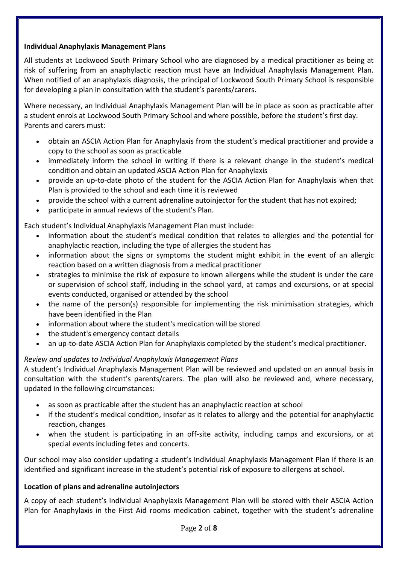## **Individual Anaphylaxis Management Plans**

All students at Lockwood South Primary School who are diagnosed by a medical practitioner as being at risk of suffering from an anaphylactic reaction must have an Individual Anaphylaxis Management Plan. When notified of an anaphylaxis diagnosis, the principal of Lockwood South Primary School is responsible for developing a plan in consultation with the student's parents/carers.

Where necessary, an Individual Anaphylaxis Management Plan will be in place as soon as practicable after a student enrols at Lockwood South Primary School and where possible, before the student's first day. Parents and carers must:

- obtain an ASCIA Action Plan for Anaphylaxis from the student's medical practitioner and provide a copy to the school as soon as practicable
- immediately inform the school in writing if there is a relevant change in the student's medical condition and obtain an updated ASCIA Action Plan for Anaphylaxis
- provide an up-to-date photo of the student for the ASCIA Action Plan for Anaphylaxis when that Plan is provided to the school and each time it is reviewed
- provide the school with a current adrenaline autoinjector for the student that has not expired;
- participate in annual reviews of the student's Plan.

Each student's Individual Anaphylaxis Management Plan must include:

- information about the student's medical condition that relates to allergies and the potential for anaphylactic reaction, including the type of allergies the student has
- information about the signs or symptoms the student might exhibit in the event of an allergic reaction based on a written diagnosis from a medical practitioner
- strategies to minimise the risk of exposure to known allergens while the student is under the care or supervision of school staff, including in the school yard, at camps and excursions, or at special events conducted, organised or attended by the school
- the name of the person(s) responsible for implementing the risk minimisation strategies, which have been identified in the Plan
- information about where the student's medication will be stored
- the student's emergency contact details
- an up-to-date ASCIA Action Plan for Anaphylaxis completed by the student's medical practitioner.

# *Review and updates to Individual Anaphylaxis Management Plans*

A student's Individual Anaphylaxis Management Plan will be reviewed and updated on an annual basis in consultation with the student's parents/carers. The plan will also be reviewed and, where necessary, updated in the following circumstances:

- as soon as practicable after the student has an anaphylactic reaction at school
- if the student's medical condition, insofar as it relates to allergy and the potential for anaphylactic reaction, changes
- when the student is participating in an off-site activity, including camps and excursions, or at special events including fetes and concerts.

Our school may also consider updating a student's Individual Anaphylaxis Management Plan if there is an identified and significant increase in the student's potential risk of exposure to allergens at school.

# **Location of plans and adrenaline autoinjectors**

A copy of each student's Individual Anaphylaxis Management Plan will be stored with their ASCIA Action Plan for Anaphylaxis in the First Aid rooms medication cabinet, together with the student's adrenaline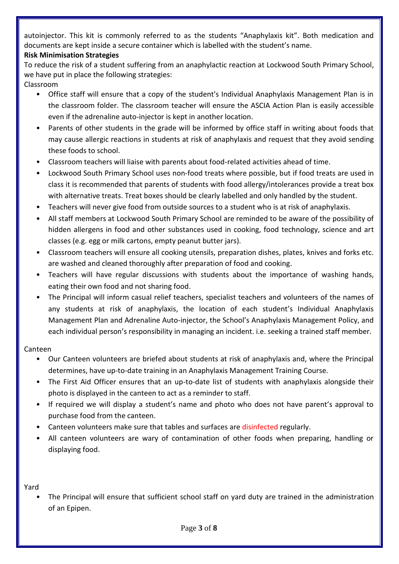autoinjector. This kit is commonly referred to as the students "Anaphylaxis kit". Both medication and documents are kept inside a secure container which is labelled with the student's name.

# **Risk Minimisation Strategies**

To reduce the risk of a student suffering from an anaphylactic reaction at Lockwood South Primary School, we have put in place the following strategies: Classroom

- Office staff will ensure that a copy of the student's Individual Anaphylaxis Management Plan is in the classroom folder. The classroom teacher will ensure the ASCIA Action Plan is easily accessible even if the adrenaline auto-injector is kept in another location.
- Parents of other students in the grade will be informed by office staff in writing about foods that may cause allergic reactions in students at risk of anaphylaxis and request that they avoid sending these foods to school.
- Classroom teachers will liaise with parents about food-related activities ahead of time.
- Lockwood South Primary School uses non-food treats where possible, but if food treats are used in class it is recommended that parents of students with food allergy/intolerances provide a treat box with alternative treats. Treat boxes should be clearly labelled and only handled by the student.
- Teachers will never give food from outside sources to a student who is at risk of anaphylaxis.
- All staff members at Lockwood South Primary School are reminded to be aware of the possibility of hidden allergens in food and other substances used in cooking, food technology, science and art classes (e.g. egg or milk cartons, empty peanut butter jars).
- Classroom teachers will ensure all cooking utensils, preparation dishes, plates, knives and forks etc. are washed and cleaned thoroughly after preparation of food and cooking.
- Teachers will have regular discussions with students about the importance of washing hands, eating their own food and not sharing food.
- The Principal will inform casual relief teachers, specialist teachers and volunteers of the names of any students at risk of anaphylaxis, the location of each student's Individual Anaphylaxis Management Plan and Adrenaline Auto-injector, the School's Anaphylaxis Management Policy, and each individual person's responsibility in managing an incident. i.e. seeking a trained staff member.

# Canteen

- Our Canteen volunteers are briefed about students at risk of anaphylaxis and, where the Principal determines, have up-to-date training in an Anaphylaxis Management Training Course.
- The First Aid Officer ensures that an up-to-date list of students with anaphylaxis alongside their photo is displayed in the canteen to act as a reminder to staff.
- If required we will display a student's name and photo who does not have parent's approval to purchase food from the canteen.
- Canteen volunteers make sure that tables and surfaces are disinfected regularly.
- All canteen volunteers are wary of contamination of other foods when preparing, handling or displaying food.

# Yard

• The Principal will ensure that sufficient school staff on yard duty are trained in the administration of an Epipen.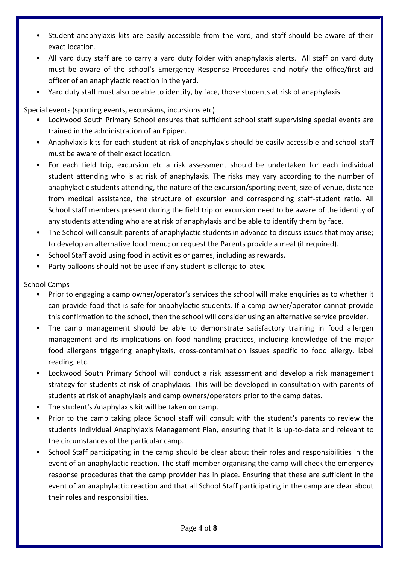- Student anaphylaxis kits are easily accessible from the yard, and staff should be aware of their exact location.
- All yard duty staff are to carry a yard duty folder with anaphylaxis alerts. All staff on yard duty must be aware of the school's Emergency Response Procedures and notify the office/first aid officer of an anaphylactic reaction in the yard.
- Yard duty staff must also be able to identify, by face, those students at risk of anaphylaxis.

Special events (sporting events, excursions, incursions etc)

- Lockwood South Primary School ensures that sufficient school staff supervising special events are trained in the administration of an Epipen.
- Anaphylaxis kits for each student at risk of anaphylaxis should be easily accessible and school staff must be aware of their exact location.
- For each field trip, excursion etc a risk assessment should be undertaken for each individual student attending who is at risk of anaphylaxis. The risks may vary according to the number of anaphylactic students attending, the nature of the excursion/sporting event, size of venue, distance from medical assistance, the structure of excursion and corresponding staff-student ratio. All School staff members present during the field trip or excursion need to be aware of the identity of any students attending who are at risk of anaphylaxis and be able to identify them by face.
- The School will consult parents of anaphylactic students in advance to discuss issues that may arise; to develop an alternative food menu; or request the Parents provide a meal (if required).
- School Staff avoid using food in activities or games, including as rewards.
- Party balloons should not be used if any student is allergic to latex.

School Camps

- Prior to engaging a camp owner/operator's services the school will make enquiries as to whether it can provide food that is safe for anaphylactic students. If a camp owner/operator cannot provide this confirmation to the school, then the school will consider using an alternative service provider.
- The camp management should be able to demonstrate satisfactory training in food allergen management and its implications on food-handling practices, including knowledge of the major food allergens triggering anaphylaxis, cross-contamination issues specific to food allergy, label reading, etc.
- Lockwood South Primary School will conduct a risk assessment and develop a risk management strategy for students at risk of anaphylaxis. This will be developed in consultation with parents of students at risk of anaphylaxis and camp owners/operators prior to the camp dates.
- The student's Anaphylaxis kit will be taken on camp.
- Prior to the camp taking place School staff will consult with the student's parents to review the students Individual Anaphylaxis Management Plan, ensuring that it is up-to-date and relevant to the circumstances of the particular camp.
- School Staff participating in the camp should be clear about their roles and responsibilities in the event of an anaphylactic reaction. The staff member organising the camp will check the emergency response procedures that the camp provider has in place. Ensuring that these are sufficient in the event of an anaphylactic reaction and that all School Staff participating in the camp are clear about their roles and responsibilities.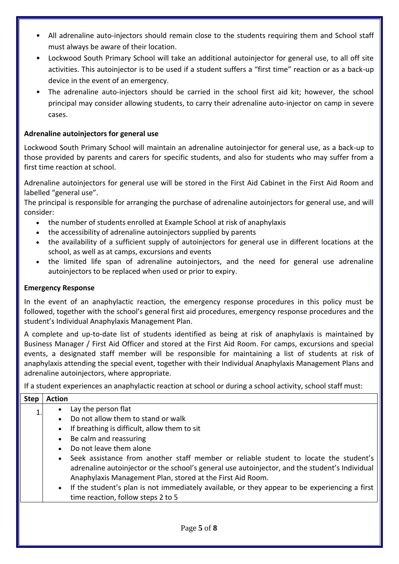- All adrenaline auto-injectors should remain close to the students requiring them and School staff must always be aware of their location.
- Lockwood South Primary School will take an additional autoinjector for general use, to all off site activities. This autoinjector is to be used if a student suffers a "first time" reaction or as a back-up device in the event of an emergency.
- The adrenaline auto-injectors should be carried in the school first aid kit; however, the school principal may consider allowing students, to carry their adrenaline auto-injector on camp in severe cases.

# **Adrenaline autoinjectors for general use**

Lockwood South Primary School will maintain an adrenaline autoinjector for general use, as a back-up to those provided by parents and carers for specific students, and also for students who may suffer from a first time reaction at school.

Adrenaline autoinjectors for general use will be stored in the First Aid Cabinet in the First Aid Room and labelled "general use".

The principal is responsible for arranging the purchase of adrenaline autoinjectors for general use, and will consider:

- the number of students enrolled at Example School at risk of anaphylaxis
- the accessibility of adrenaline autoiniectors supplied by parents
- the availability of a sufficient supply of autoinjectors for general use in different locations at the school, as well as at camps, excursions and events
- the limited life span of adrenaline autoinjectors, and the need for general use adrenaline autoinjectors to be replaced when used or prior to expiry.

## **Emergency Response**

In the event of an anaphylactic reaction, the emergency response procedures in this policy must be followed, together with the school's general first aid procedures, emergency response procedures and the student's Individual Anaphylaxis Management Plan.

A complete and up-to-date list of students identified as being at risk of anaphylaxis is maintained by Business Manager / First Aid Officer and stored at the First Aid Room. For camps, excursions and special events, a designated staff member will be responsible for maintaining a list of students at risk of anaphylaxis attending the special event, together with their Individual Anaphylaxis Management Plans and adrenaline autoinjectors, where appropriate.

If a student experiences an anaphylactic reaction at school or during a school activity, school staff must:

| <b>Step</b> | <b>Action</b>                                                                                                                                                                                                                                         |
|-------------|-------------------------------------------------------------------------------------------------------------------------------------------------------------------------------------------------------------------------------------------------------|
|             | Lay the person flat                                                                                                                                                                                                                                   |
|             | Do not allow them to stand or walk                                                                                                                                                                                                                    |
|             | If breathing is difficult, allow them to sit<br>$\bullet$                                                                                                                                                                                             |
|             | Be calm and reassuring                                                                                                                                                                                                                                |
|             | Do not leave them alone                                                                                                                                                                                                                               |
|             | Seek assistance from another staff member or reliable student to locate the student's<br>adrenaline autoinjector or the school's general use autoinjector, and the student's Individual<br>Anaphylaxis Management Plan, stored at the First Aid Room. |
|             | If the student's plan is not immediately available, or they appear to be experiencing a first<br>$\bullet$<br>time reaction, follow steps 2 to 5                                                                                                      |
|             |                                                                                                                                                                                                                                                       |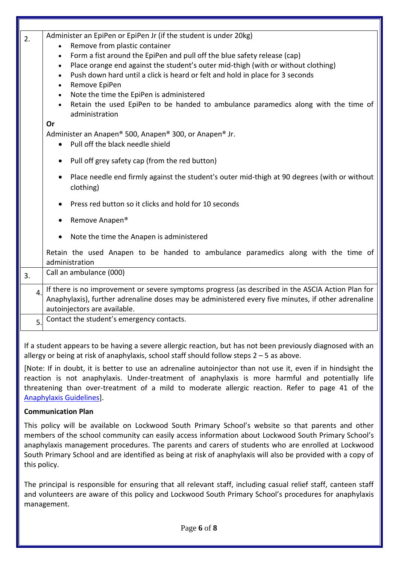| 2. | Administer an EpiPen or EpiPen Jr (if the student is under 20kg)<br>Remove from plastic container<br>$\bullet$<br>Form a fist around the EpiPen and pull off the blue safety release (cap)<br>$\bullet$<br>Place orange end against the student's outer mid-thigh (with or without clothing)<br>$\bullet$<br>Push down hard until a click is heard or felt and hold in place for 3 seconds<br>$\bullet$<br>Remove EpiPen<br>$\bullet$<br>Note the time the EpiPen is administered<br>$\bullet$<br>Retain the used EpiPen to be handed to ambulance paramedics along with the time of<br>$\bullet$<br>administration<br>Or<br>Administer an Anapen® 500, Anapen® 300, or Anapen® Jr.<br>Pull off the black needle shield<br>$\bullet$ |
|----|--------------------------------------------------------------------------------------------------------------------------------------------------------------------------------------------------------------------------------------------------------------------------------------------------------------------------------------------------------------------------------------------------------------------------------------------------------------------------------------------------------------------------------------------------------------------------------------------------------------------------------------------------------------------------------------------------------------------------------------|
|    |                                                                                                                                                                                                                                                                                                                                                                                                                                                                                                                                                                                                                                                                                                                                      |
|    | Pull off grey safety cap (from the red button)<br>$\bullet$                                                                                                                                                                                                                                                                                                                                                                                                                                                                                                                                                                                                                                                                          |
|    | Place needle end firmly against the student's outer mid-thigh at 90 degrees (with or without<br>$\bullet$<br>clothing)                                                                                                                                                                                                                                                                                                                                                                                                                                                                                                                                                                                                               |
|    | Press red button so it clicks and hold for 10 seconds                                                                                                                                                                                                                                                                                                                                                                                                                                                                                                                                                                                                                                                                                |
|    | Remove Anapen <sup>®</sup>                                                                                                                                                                                                                                                                                                                                                                                                                                                                                                                                                                                                                                                                                                           |
|    | Note the time the Anapen is administered                                                                                                                                                                                                                                                                                                                                                                                                                                                                                                                                                                                                                                                                                             |
|    | Retain the used Anapen to be handed to ambulance paramedics along with the time of<br>administration                                                                                                                                                                                                                                                                                                                                                                                                                                                                                                                                                                                                                                 |
| 3. | Call an ambulance (000)                                                                                                                                                                                                                                                                                                                                                                                                                                                                                                                                                                                                                                                                                                              |
| 4. | If there is no improvement or severe symptoms progress (as described in the ASCIA Action Plan for<br>Anaphylaxis), further adrenaline doses may be administered every five minutes, if other adrenaline<br>autoinjectors are available.                                                                                                                                                                                                                                                                                                                                                                                                                                                                                              |
| 5. | Contact the student's emergency contacts.                                                                                                                                                                                                                                                                                                                                                                                                                                                                                                                                                                                                                                                                                            |
|    |                                                                                                                                                                                                                                                                                                                                                                                                                                                                                                                                                                                                                                                                                                                                      |

If a student appears to be having a severe allergic reaction, but has not been previously diagnosed with an allergy or being at risk of anaphylaxis, school staff should follow steps 2 – 5 as above.

[Note: If in doubt, it is better to use an adrenaline autoinjector than not use it, even if in hindsight the reaction is not anaphylaxis. Under-treatment of anaphylaxis is more harmful and potentially life threatening than over-treatment of a mild to moderate allergic reaction. Refer to page 41 of the [Anaphylaxis Guidelines\]](http://www.education.vic.gov.au/school/teachers/health/pages/anaphylaxisschl.aspx).

#### **Communication Plan**

This policy will be available on Lockwood South Primary School's website so that parents and other members of the school community can easily access information about Lockwood South Primary School's anaphylaxis management procedures. The parents and carers of students who are enrolled at Lockwood South Primary School and are identified as being at risk of anaphylaxis will also be provided with a copy of this policy.

The principal is responsible for ensuring that all relevant staff, including casual relief staff, canteen staff and volunteers are aware of this policy and Lockwood South Primary School's procedures for anaphylaxis management.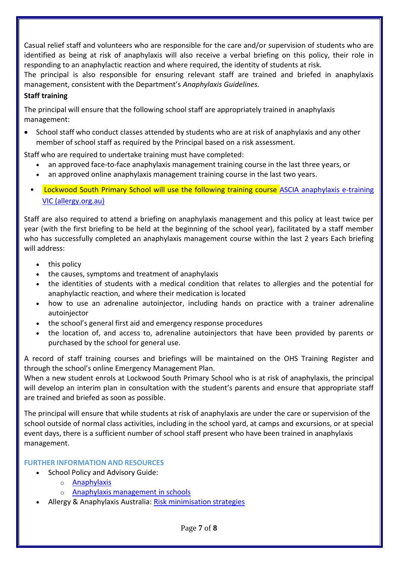Casual relief staff and volunteers who are responsible for the care and/or supervision of students who are identified as being at risk of anaphylaxis will also receive a verbal briefing on this policy, their role in responding to an anaphylactic reaction and where required, the identity of students at risk.

The principal is also responsible for ensuring relevant staff are trained and briefed in anaphylaxis management, consistent with the Department's *Anaphylaxis Guidelines.*

# **Staff training**

The principal will ensure that the following school staff are appropriately trained in anaphylaxis management:

• School staff who conduct classes attended by students who are at risk of anaphylaxis and any other member of school staff as required by the Principal based on a risk assessment.

Staff who are required to undertake training must have completed:

- an approved face-to-face anaphylaxis management training course in the last three years, or
- an approved online anaphylaxis management training course in the last two years.
- Lockwood South Primary School will use the following training course [ASCIA anaphylaxis e-training](https://etrainingvic.allergy.org.au/)  [VIC \(allergy.org.au\)](https://etrainingvic.allergy.org.au/)

Staff are also required to attend a briefing on anaphylaxis management and this policy at least twice per year (with the first briefing to be held at the beginning of the school year), facilitated by a staff member who has successfully completed an anaphylaxis management course within the last 2 years Each briefing will address:

- this policy
- the causes, symptoms and treatment of anaphylaxis
- the identities of students with a medical condition that relates to allergies and the potential for anaphylactic reaction, and where their medication is located
- how to use an adrenaline autoinjector, including hands on practice with a trainer adrenaline autoinjector
- the school's general first aid and emergency response procedures
- the location of, and access to, adrenaline autoinjectors that have been provided by parents or purchased by the school for general use.

A record of staff training courses and briefings will be maintained on the OHS Training Register and through the school's online Emergency Management Plan.

When a new student enrols at Lockwood South Primary School who is at risk of anaphylaxis, the principal will develop an interim plan in consultation with the student's parents and ensure that appropriate staff are trained and briefed as soon as possible.

The principal will ensure that while students at risk of anaphylaxis are under the care or supervision of the school outside of normal class activities, including in the school yard, at camps and excursions, or at special event days, there is a sufficient number of school staff present who have been trained in anaphylaxis management.

## **FURTHER INFORMATION AND RESOURCES**

- School Policy and Advisory Guide:
	- o [Anaphylaxis](http://www.education.vic.gov.au/school/principals/spag/health/Pages/anaphylaxis.aspx)
	- o [Anaphylaxis management in schools](http://www.education.vic.gov.au/school/teachers/health/pages/anaphylaxisschl.aspx)
- Allergy & Anaphylaxis Australia: [Risk minimisation strategies](https://edugate.eduweb.vic.gov.au/edulibrary/Schools/teachers/health/riskminimisation.pdf)